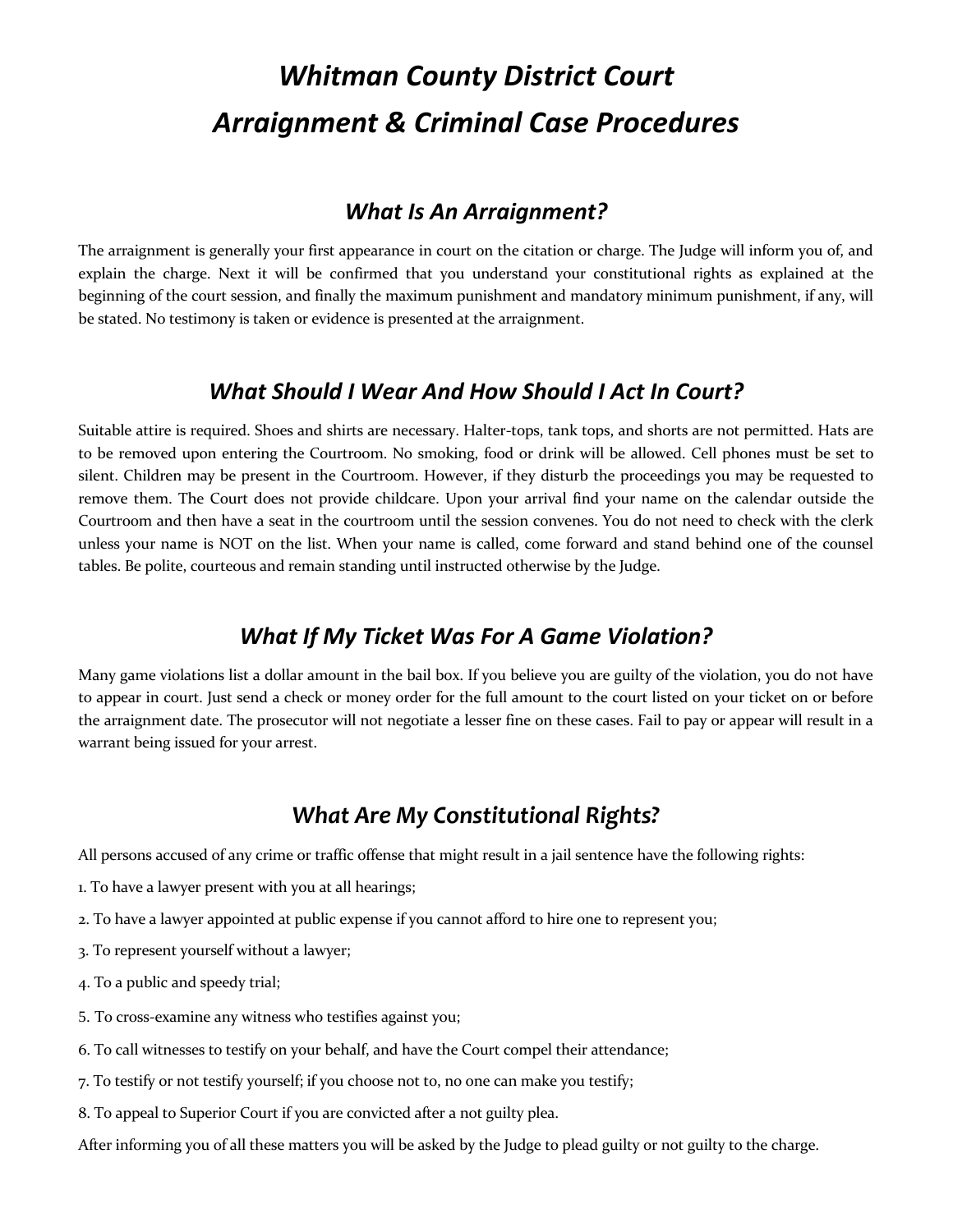# *Whitman County District Court Arraignment & Criminal Case Procedures*

#### *What Is An Arraignment?*

The arraignment is generally your first appearance in court on the citation or charge. The Judge will inform you of, and explain the charge. Next it will be confirmed that you understand your constitutional rights as explained at the beginning of the court session, and finally the maximum punishment and mandatory minimum punishment, if any, will be stated. No testimony is taken or evidence is presented at the arraignment.

#### *What Should I Wear And How Should I Act In Court?*

Suitable attire is required. Shoes and shirts are necessary. Halter-tops, tank tops, and shorts are not permitted. Hats are to be removed upon entering the Courtroom. No smoking, food or drink will be allowed. Cell phones must be set to silent. Children may be present in the Courtroom. However, if they disturb the proceedings you may be requested to remove them. The Court does not provide childcare. Upon your arrival find your name on the calendar outside the Courtroom and then have a seat in the courtroom until the session convenes. You do not need to check with the clerk unless your name is NOT on the list. When your name is called, come forward and stand behind one of the counsel tables. Be polite, courteous and remain standing until instructed otherwise by the Judge.

#### *What If My Ticket Was For A Game Violation?*

Many game violations list a dollar amount in the bail box. If you believe you are guilty of the violation, you do not have to appear in court. Just send a check or money order for the full amount to the court listed on your ticket on or before the arraignment date. The prosecutor will not negotiate a lesser fine on these cases. Fail to pay or appear will result in a warrant being issued for your arrest.

## *What Are My Constitutional Rights?*

All persons accused of any crime or traffic offense that might result in a jail sentence have the following rights:

- 1. To have a lawyer present with you at all hearings;
- 2. To have a lawyer appointed at public expense if you cannot afford to hire one to represent you;
- 3. To represent yourself without a lawyer;
- 4. To a public and speedy trial;
- 5. To cross-examine any witness who testifies against you;
- 6. To call witnesses to testify on your behalf, and have the Court compel their attendance;
- 7. To testify or not testify yourself; if you choose not to, no one can make you testify;
- 8. To appeal to Superior Court if you are convicted after a not guilty plea.

After informing you of all these matters you will be asked by the Judge to plead guilty or not guilty to the charge.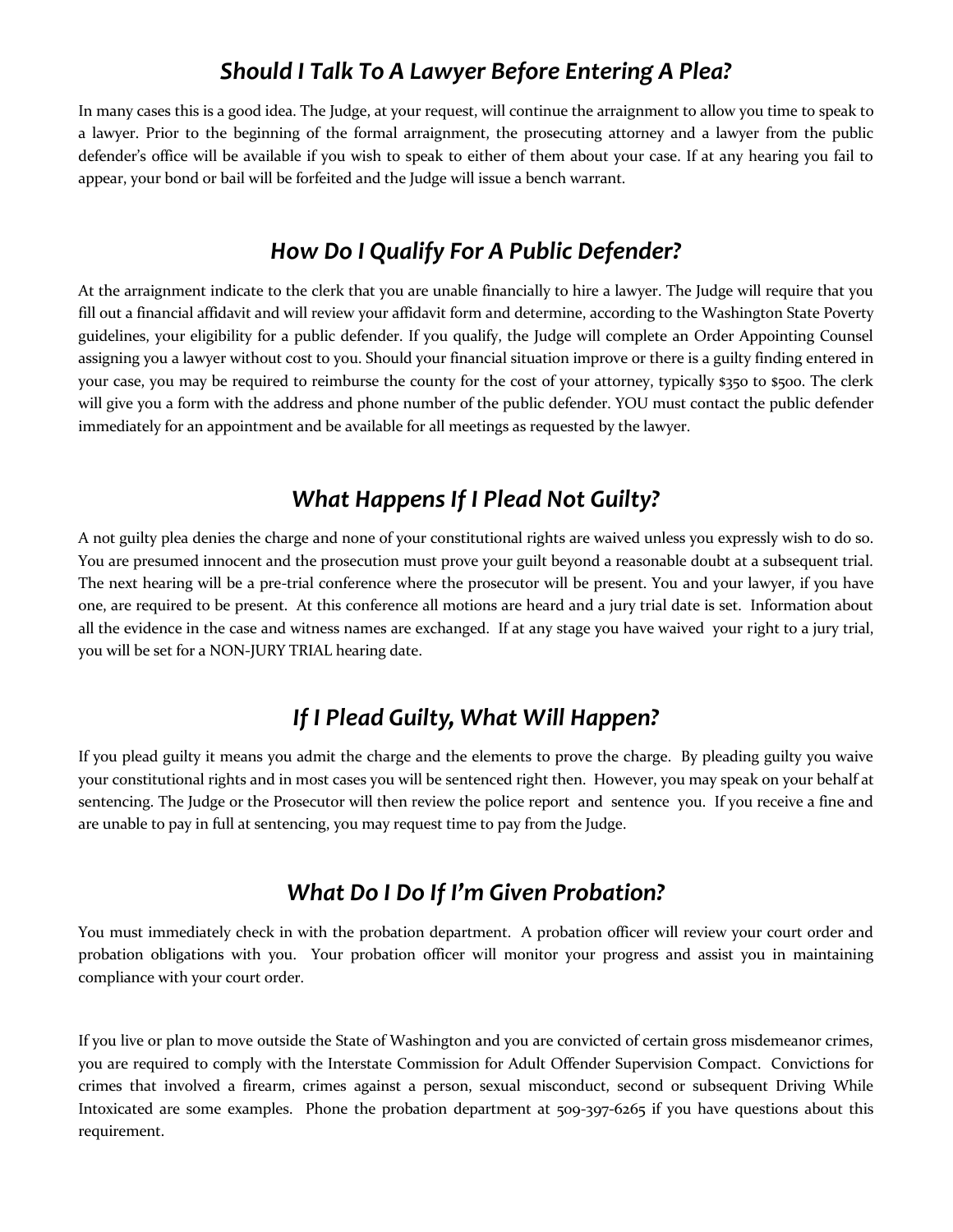#### *Should I Talk To A Lawyer Before Entering A Plea?*

In many cases this is a good idea. The Judge, at your request, will continue the arraignment to allow you time to speak to a lawyer. Prior to the beginning of the formal arraignment, the prosecuting attorney and a lawyer from the public defender's office will be available if you wish to speak to either of them about your case. If at any hearing you fail to appear, your bond or bail will be forfeited and the Judge will issue a bench warrant.

## *How Do I Qualify For A Public Defender?*

At the arraignment indicate to the clerk that you are unable financially to hire a lawyer. The Judge will require that you fill out a financial affidavit and will review your affidavit form and determine, according to the Washington State Poverty guidelines, your eligibility for a public defender. If you qualify, the Judge will complete an Order Appointing Counsel assigning you a lawyer without cost to you. Should your financial situation improve or there is a guilty finding entered in your case, you may be required to reimburse the county for the cost of your attorney, typically \$350 to \$500. The clerk will give you a form with the address and phone number of the public defender. YOU must contact the public defender immediately for an appointment and be available for all meetings as requested by the lawyer.

## *What Happens If I Plead Not Guilty?*

A not guilty plea denies the charge and none of your constitutional rights are waived unless you expressly wish to do so. You are presumed innocent and the prosecution must prove your guilt beyond a reasonable doubt at a subsequent trial. The next hearing will be a pre-trial conference where the prosecutor will be present. You and your lawyer, if you have one, are required to be present. At this conference all motions are heard and a jury trial date is set. Information about all the evidence in the case and witness names are exchanged. If at any stage you have waived your right to a jury trial, you will be set for a NON-JURY TRIAL hearing date.

## *If I Plead Guilty, What Will Happen?*

If you plead guilty it means you admit the charge and the elements to prove the charge. By pleading guilty you waive your constitutional rights and in most cases you will be sentenced right then. However, you may speak on your behalf at sentencing. The Judge or the Prosecutor will then review the police report and sentence you. If you receive a fine and are unable to pay in full at sentencing, you may request time to pay from the Judge.

## *What Do I Do If I'm Given Probation?*

You must immediately check in with the probation department. A probation officer will review your court order and probation obligations with you. Your probation officer will monitor your progress and assist you in maintaining compliance with your court order.

If you live or plan to move outside the State of Washington and you are convicted of certain gross misdemeanor crimes, you are required to comply with the Interstate Commission for Adult Offender Supervision Compact. Convictions for crimes that involved a firearm, crimes against a person, sexual misconduct, second or subsequent Driving While Intoxicated are some examples. Phone the probation department at 509-397-6265 if you have questions about this requirement.